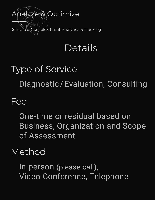

## **Details**

# Type of Service Diagnostic / Evaluation, Consulting

#### Fee

One-time or residual based on Business, Organization and Scope of Assessment

#### Method

In-person (please call), Video Conference, Telephone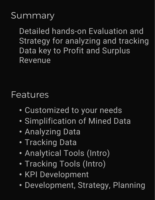## Summary

Detailed hands-on Evaluation and Strategy for analyzing and tracking Data key to Profit and Surplus Revenue

#### Features

- Customized to your needs
- Simplification of Mined Data
- Analyzing Data
- Tracking Data
- Analytical Tools (Intro)
- Tracking Tools (Intro)
- KPI Development
- Development, Strategy, Planning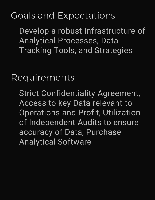## Goals and Expectations

Develop a robust Infrastructure of Analytical Processes, Data Tracking Tools, and Strategies

Requirements

Strict Confidentiality Agreement, Access to key Data relevant to Operations and Profit, Utilization of Independent Audits to ensure accuracy of Data, Purchase Analytical Software